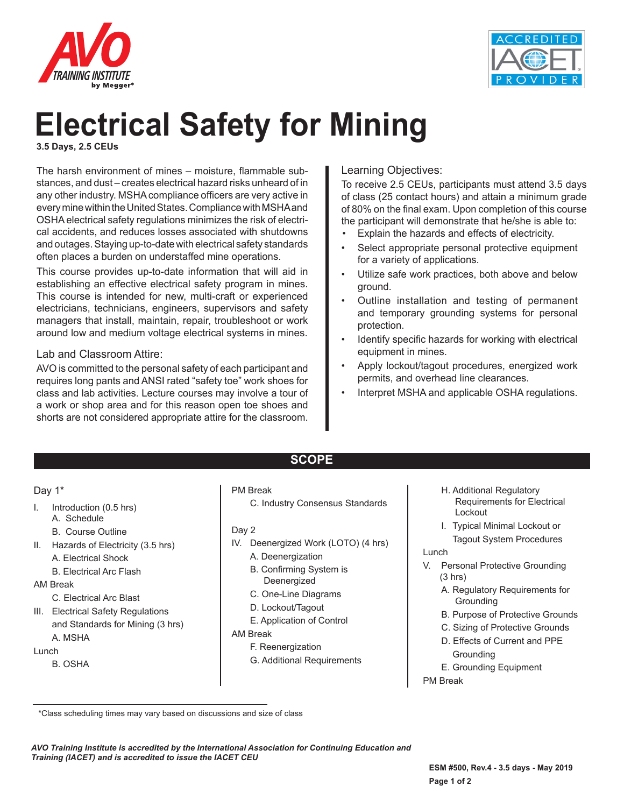



# **Electrical Safety for Mining**

**3.5 Days, 2.5 CEUs**

The harsh environment of mines – moisture, flammable substances, and dust – creates electrical hazard risks unheard of in any other industry. MSHA compliance officers are very active in every mine within the United States. Compliance with MSHA and OSHA electrical safety regulations minimizes the risk of electrical accidents, and reduces losses associated with shutdowns and outages. Staying up-to-date with electrical safety standards often places a burden on understaffed mine operations.

This course provides up-to-date information that will aid in establishing an effective electrical safety program in mines. This course is intended for new, multi-craft or experienced electricians, technicians, engineers, supervisors and safety managers that install, maintain, repair, troubleshoot or work around low and medium voltage electrical systems in mines.

### Lab and Classroom Attire:

AVO is committed to the personal safety of each participant and requires long pants and ANSI rated "safety toe" work shoes for class and lab activities. Lecture courses may involve a tour of a work or shop area and for this reason open toe shoes and shorts are not considered appropriate attire for the classroom.

## Learning Objectives:

To receive 2.5 CEUs, participants must attend 3.5 days of class (25 contact hours) and attain a minimum grade of 80% on the final exam. Upon completion of this course the participant will demonstrate that he/she is able to:

- Explain the hazards and effects of electricity.
- Select appropriate personal protective equipment for a variety of applications.
- Utilize safe work practices, both above and below ground.
- Outline installation and testing of permanent and temporary grounding systems for personal protection.
- Identify specific hazards for working with electrical equipment in mines.
- Apply lockout/tagout procedures, energized work permits, and overhead line clearances.
- Interpret MSHA and applicable OSHA regulations.

### Day 1\*

- I. Introduction (0.5 hrs)
	- A. Schedule
	- B. Course Outline
- II. Hazards of Electricity (3.5 hrs)
	- A. Electrical Shock
	- B. Electrical Arc Flash

### AM Break

- C. Electrical Arc Blast
- III. Electrical Safety Regulations and Standards for Mining (3 hrs)
- A. MSHA

### Lunch

B. OSHA

### PM Break

C. Industry Consensus Standards

**SCOPE**

- Day 2
- IV. Deenergized Work (LOTO) (4 hrs)
	- A. Deenergization
	- B. Confirming System is Deenergized
	- C. One-Line Diagrams
	- D. Lockout/Tagout
	- E. Application of Control

#### AM Break

- F. Reenergization
- G. Additional Requirements
- H. Additional Regulatory Requirements for Electrical Lockout
- I. Typical Minimal Lockout or Tagout System Procedures

#### Lunch

- V. Personal Protective Grounding (3 hrs)
	- A. Regulatory Requirements for **Grounding**
	- B. Purpose of Protective Grounds
	- C. Sizing of Protective Grounds
	- D. Effects of Current and PPE Grounding
	- E. Grounding Equipment
- PM Break

 <sup>\*</sup>Class scheduling times may vary based on discussions and size of class